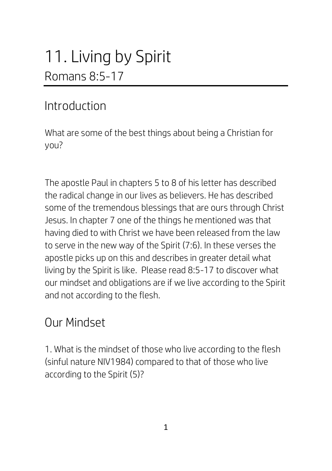# 11. Living by Spirit Romans 8:5-17

#### Introduction

What are some of the best things about being a Christian for you?

The apostle Paul in chapters 5 to 8 of his letter has described the radical change in our lives as believers. He has described some of the tremendous blessings that are ours through Christ Jesus. In chapter 7 one of the things he mentioned was that having died to with Christ we have been released from the law to serve in the new way of the Spirit (7:6). In these verses the apostle picks up on this and describes in greater detail what living by the Spirit is like. Please read 8:5-17 to discover what our mindset and obligations are if we live according to the Spirit and not according to the flesh.

## Our Mindset

1. What is the mindset of those who live according to the flesh (sinful nature NIV1984) compared to that of those who live according to the Spirit (5)?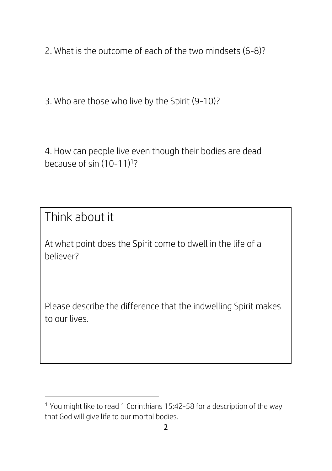2. What is the outcome of each of the two mindsets (6-8)?

3. Who are those who live by the Spirit (9-10)?

4. How can people live even though their bodies are dead because of sin (10-11)<sup>1</sup>?

Think about it

**.** 

At what point does the Spirit come to dwell in the life of a believer?

Please describe the difference that the indwelling Spirit makes to our lives.

<sup>1</sup> You might like to read 1 Corinthians 15:42-58 for a description of the way that God will give life to our mortal bodies.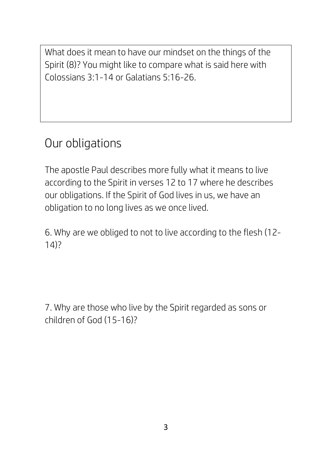What does it mean to have our mindset on the things of the Spirit (8)? You might like to compare what is said here with Colossians 3:1-14 or Galatians 5:16-26.

## Our obligations

The apostle Paul describes more fully what it means to live according to the Spirit in verses 12 to 17 where he describes our obligations. If the Spirit of God lives in us, we have an obligation to no long lives as we once lived.

6. Why are we obliged to not to live according to the flesh (12- 14)?

7. Why are those who live by the Spirit regarded as sons or children of God (15-16)?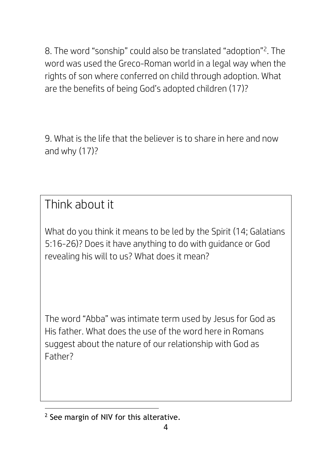8. The word "sonship" could also be translated "adoption"<sup>2</sup> . The word was used the Greco-Roman world in a legal way when the rights of son where conferred on child through adoption. What are the benefits of being God's adopted children (17)?

9. What is the life that the believer is to share in here and now and why (17)?

Think about it

What do you think it means to be led by the Spirit (14; Galatians 5:16-26)? Does it have anything to do with guidance or God revealing his will to us? What does it mean?

The word "Abba" was intimate term used by Jesus for God as His father. What does the use of the word here in Romans suggest about the nature of our relationship with God as Father?

**<sup>.</sup>** <sup>2</sup> See margin of NIV for this alterative.